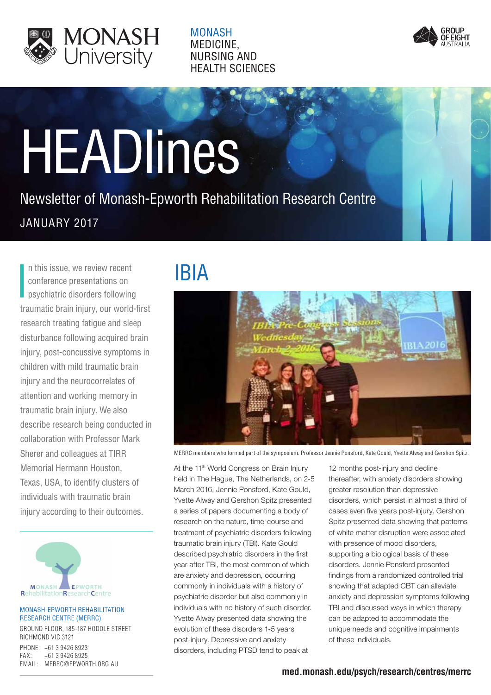

**MONASH** MEDICINE. **NURSING AND HEALTH SCIENCES** 



# **HEADlines**

JANUARY 2017 Newsletter of Monash-Epworth Rehabilitation Research Centre

I n this issue, we review recent conference presentations on psychiatric disorders following traumatic brain injury, our world-first research treating fatigue and sleep disturbance following acquired brain injury, post-concussive symptoms in children with mild traumatic brain injury and the neurocorrelates of attention and working memory in traumatic brain injury. We also describe research being conducted in collaboration with Professor Mark Sherer and colleagues at TIRR Memorial Hermann Houston, Texas, USA, to identify clusters of individuals with traumatic brain injury according to their outcomes.



#### MONASH-EPWORTH REHABILITATION RESEARCH CENTRE (MERRC)

GROUND FLOOR, 185-187 HODDLE STREET RICHMOND VIC 3121 PHONE: +61 3 9426 8923 FAX: +61 3 9426 8925 EMAIL: MERRC@EPWORTH.ORG.AU

# IBIA



MERRC members who formed part of the symposium. Professor Jennie Ponsford, Kate Gould, Yvette Alway and Gershon Spitz.

At the 11<sup>th</sup> World Congress on Brain Injury held in The Hague, The Netherlands, on 2-5 March 2016, Jennie Ponsford, Kate Gould, Yvette Alway and Gershon Spitz presented a series of papers documenting a body of research on the nature, time-course and treatment of psychiatric disorders following traumatic brain injury (TBI). Kate Gould described psychiatric disorders in the first year after TBI, the most common of which are anxiety and depression, occurring commonly in individuals with a history of psychiatric disorder but also commonly in individuals with no history of such disorder. Yvette Alway presented data showing the evolution of these disorders 1-5 years post-injury. Depressive and anxiety disorders, including PTSD tend to peak at

12 months post-injury and decline thereafter, with anxiety disorders showing greater resolution than depressive disorders, which persist in almost a third of cases even five years post-injury. Gershon Spitz presented data showing that patterns of white matter disruption were associated with presence of mood disorders, supporting a biological basis of these disorders. Jennie Ponsford presented findings from a randomized controlled trial showing that adapted CBT can alleviate anxiety and depression symptoms following TBI and discussed ways in which therapy can be adapted to accommodate the unique needs and cognitive impairments of these individuals.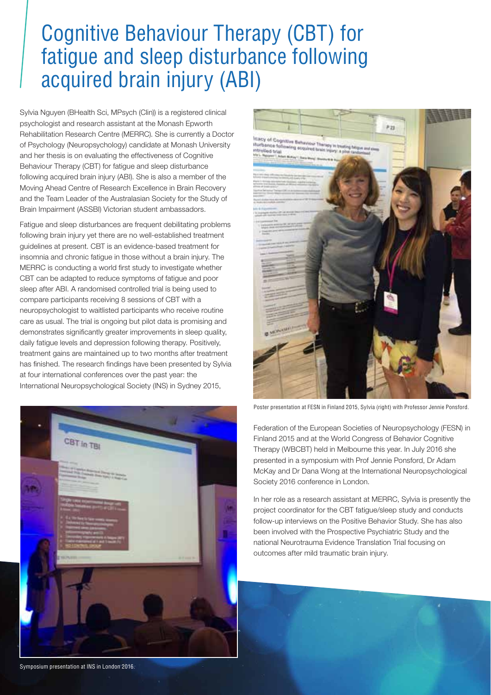### Cognitive Behaviour Therapy (CBT) for fatigue and sleep disturbance following acquired brain injury (ABI)

Sylvia Nguyen (BHealth Sci, MPsych (Clin)) is a registered clinical psychologist and research assistant at the Monash Epworth Rehabilitation Research Centre (MERRC). She is currently a Doctor of Psychology (Neuropsychology) candidate at Monash University and her thesis is on evaluating the effectiveness of Cognitive Behaviour Therapy (CBT) for fatigue and sleep disturbance following acquired brain injury (ABI). She is also a member of the Moving Ahead Centre of Research Excellence in Brain Recovery and the Team Leader of the Australasian Society for the Study of Brain Impairment (ASSBI) Victorian student ambassadors.

Fatigue and sleep disturbances are frequent debilitating problems following brain injury yet there are no well-established treatment guidelines at present. CBT is an evidence-based treatment for insomnia and chronic fatigue in those without a brain injury. The MERRC is conducting a world first study to investigate whether CBT can be adapted to reduce symptoms of fatigue and poor sleep after ABI. A randomised controlled trial is being used to compare participants receiving 8 sessions of CBT with a neuropsychologist to waitlisted participants who receive routine care as usual. The trial is ongoing but pilot data is promising and demonstrates significantly greater improvements in sleep quality, daily fatigue levels and depression following therapy. Positively, treatment gains are maintained up to two months after treatment has finished. The research findings have been presented by Sylvia at four international conferences over the past year: the International Neuropsychological Society (INS) in Sydney 2015,





Poster presentation at FESN in Finland 2015, Sylvia (right) with Professor Jennie Ponsford.

Federation of the European Societies of Neuropsychology (FESN) in Finland 2015 and at the World Congress of Behavior Cognitive Therapy (WBCBT) held in Melbourne this year. In July 2016 she presented in a symposium with Prof Jennie Ponsford, Dr Adam McKay and Dr Dana Wong at the International Neuropsychological Society 2016 conference in London.

In her role as a research assistant at MERRC, Sylvia is presently the project coordinator for the CBT fatigue/sleep study and conducts follow-up interviews on the Positive Behavior Study. She has also been involved with the Prospective Psychiatric Study and the national Neurotrauma Evidence Translation Trial focusing on outcomes after mild traumatic brain injury.

Symposium presentation at INS in London 2016.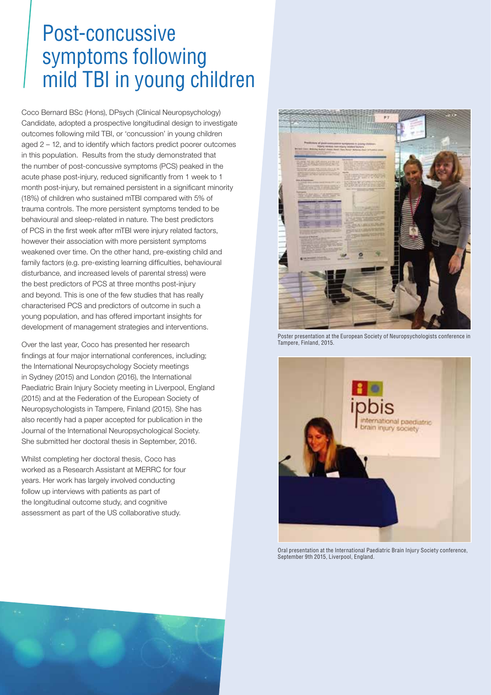### Post-concussive symptoms following mild TBI in young children

Coco Bernard BSc (Hons), DPsych (Clinical Neuropsychology) Candidate, adopted a prospective longitudinal design to investigate outcomes following mild TBI, or 'concussion' in young children aged 2 – 12, and to identify which factors predict poorer outcomes in this population. Results from the study demonstrated that the number of post-concussive symptoms (PCS) peaked in the acute phase post-injury, reduced significantly from 1 week to 1 month post-injury, but remained persistent in a significant minority (18%) of children who sustained mTBI compared with 5% of trauma controls. The more persistent symptoms tended to be behavioural and sleep-related in nature. The best predictors of PCS in the first week after mTBI were injury related factors, however their association with more persistent symptoms weakened over time. On the other hand, pre-existing child and family factors (e.g. pre-existing learning difficulties, behavioural disturbance, and increased levels of parental stress) were the best predictors of PCS at three months post-injury and beyond. This is one of the few studies that has really characterised PCS and predictors of outcome in such a young population, and has offered important insights for development of management strategies and interventions.

Over the last year, Coco has presented her research findings at four major international conferences, including; the International Neuropsychology Society meetings in Sydney (2015) and London (2016), the International Paediatric Brain Injury Society meeting in Liverpool, England (2015) and at the Federation of the European Society of Neuropsychologists in Tampere, Finland (2015). She has also recently had a paper accepted for publication in the Journal of the International Neuropsychological Society. She submitted her doctoral thesis in September, 2016.

Whilst completing her doctoral thesis, Coco has worked as a Research Assistant at MERRC for four years. Her work has largely involved conducting follow up interviews with patients as part of the longitudinal outcome study, and cognitive assessment as part of the US collaborative study.



Poster presentation at the European Society of Neuropsychologists conference in Tampere, Finland, 2015.



Oral presentation at the International Paediatric Brain Injury Society conference, September 9th 2015, Liverpool, England.